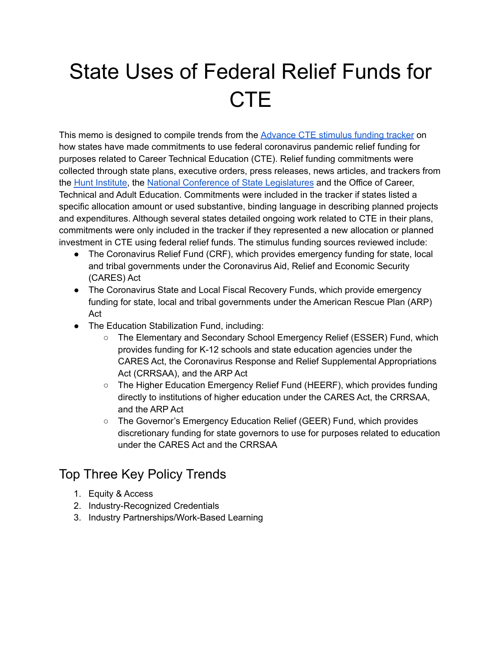# State Uses of Federal Relief Funds for **CTE**

This memo is designed to compile trends from the [Advance](https://docs.google.com/spreadsheets/d/1cx68JmbAFMrc5rgOAG9rUMcv1me0Cs33s8dEPxkOHCU/edit?usp=sharing) CTE stimulus funding tracker on how states have made commitments to use federal coronavirus pandemic relief funding for purposes related to Career Technical Education (CTE). Relief funding commitments were collected through state plans, executive orders, press releases, news articles, and trackers from the Hunt [Institute](https://hunt-institute.org/covid-19-resources/), the National Conference of State [Legislatures](https://www.ncsl.org/ncsl-in-dc/standing-committees/education/federal-stimulus-funds-for-education.aspx) and the Office of Career, Technical and Adult Education. Commitments were included in the tracker if states listed a specific allocation amount or used substantive, binding language in describing planned projects and expenditures. Although several states detailed ongoing work related to CTE in their plans, commitments were only included in the tracker if they represented a new allocation or planned investment in CTE using federal relief funds. The stimulus funding sources reviewed include:

- The Coronavirus Relief Fund (CRF), which provides emergency funding for state, local and tribal governments under the Coronavirus Aid, Relief and Economic Security (CARES) Act
- The Coronavirus State and Local Fiscal Recovery Funds, which provide emergency funding for state, local and tribal governments under the American Rescue Plan (ARP) Act
- The Education Stabilization Fund, including:
	- The Elementary and Secondary School Emergency Relief (ESSER) Fund, which provides funding for K-12 schools and state education agencies under the CARES Act, the Coronavirus Response and Relief Supplemental Appropriations Act (CRRSAA), and the ARP Act
	- The Higher Education Emergency Relief Fund (HEERF), which provides funding directly to institutions of higher education under the CARES Act, the CRRSAA, and the ARP Act
	- The Governor's Emergency Education Relief (GEER) Fund, which provides discretionary funding for state governors to use for purposes related to education under the CARES Act and the CRRSAA

#### Top Three Key Policy Trends

- 1. Equity & Access
- 2. Industry-Recognized Credentials
- 3. Industry Partnerships/Work-Based Learning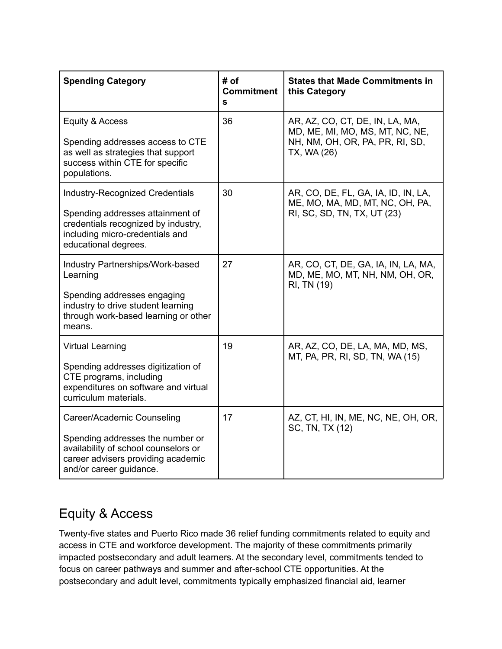| <b>Spending Category</b>                                                                                                                                                     | # of<br><b>Commitment</b><br>s | <b>States that Made Commitments in</b><br>this Category                                                              |
|------------------------------------------------------------------------------------------------------------------------------------------------------------------------------|--------------------------------|----------------------------------------------------------------------------------------------------------------------|
| Equity & Access<br>Spending addresses access to CTE<br>as well as strategies that support<br>success within CTE for specific<br>populations.                                 | 36                             | AR, AZ, CO, CT, DE, IN, LA, MA,<br>MD, ME, MI, MO, MS, MT, NC, NE,<br>NH, NM, OH, OR, PA, PR, RI, SD,<br>TX, WA (26) |
| <b>Industry-Recognized Credentials</b><br>Spending addresses attainment of<br>credentials recognized by industry,<br>including micro-credentials and<br>educational degrees. | 30                             | AR, CO, DE, FL, GA, IA, ID, IN, LA,<br>ME, MO, MA, MD, MT, NC, OH, PA,<br>RI, SC, SD, TN, TX, UT (23)                |
| <b>Industry Partnerships/Work-based</b><br>Learning<br>Spending addresses engaging<br>industry to drive student learning<br>through work-based learning or other<br>means.   | 27                             | AR, CO, CT, DE, GA, IA, IN, LA, MA,<br>MD, ME, MO, MT, NH, NM, OH, OR,<br>RI, TN (19)                                |
| <b>Virtual Learning</b><br>Spending addresses digitization of<br>CTE programs, including<br>expenditures on software and virtual<br>curriculum materials.                    | 19                             | AR, AZ, CO, DE, LA, MA, MD, MS,<br>MT, PA, PR, RI, SD, TN, WA (15)                                                   |
| Career/Academic Counseling<br>Spending addresses the number or<br>availability of school counselors or<br>career advisers providing academic<br>and/or career guidance.      | 17                             | AZ, CT, HI, IN, ME, NC, NE, OH, OR,<br>SC, TN, TX (12)                                                               |

## Equity & Access

Twenty-five states and Puerto Rico made 36 relief funding commitments related to equity and access in CTE and workforce development. The majority of these commitments primarily impacted postsecondary and adult learners. At the secondary level, commitments tended to focus on career pathways and summer and after-school CTE opportunities. At the postsecondary and adult level, commitments typically emphasized financial aid, learner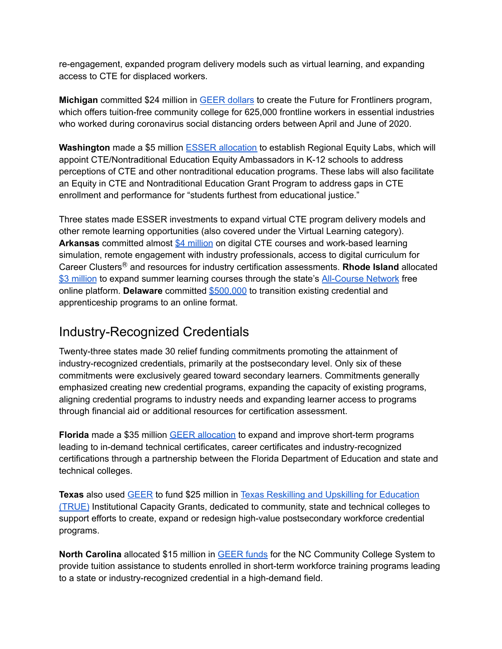re-engagement, expanded program delivery models such as virtual learning, and expanding access to CTE for displaced workers.

**Michigan** committed \$24 million in GEER [dollars](https://www.michigan.gov/whitmer/0,9309,7-387-90499-539206--,00.html) to create the Future for Frontliners program, which offers tuition-free community college for 625,000 frontline workers in essential industries who worked during coronavirus social distancing orders between April and June of 2020.

**Washington** made a \$5 million ESSER [allocation](https://oese.ed.gov/files/2021/11/WA-ARP-ESSER-State-Plan-Final.pdf) to establish Regional Equity Labs, which will appoint CTE/Nontraditional Education Equity Ambassadors in K-12 schools to address perceptions of CTE and other nontraditional education programs. These labs will also facilitate an Equity in CTE and Nontraditional Education Grant Program to address gaps in CTE enrollment and performance for "students furthest from educational justice."

Three states made ESSER investments to expand virtual CTE program delivery models and other remote learning opportunities (also covered under the Virtual Learning category). **Arkansas** committed almost \$4 [million](https://oese.ed.gov/files/2020/09/Arkansas-Cares-Act-ESSER-60-day-report.pdf) on digital CTE courses and work-based learning simulation, remote engagement with industry professionals, access to digital curriculum for Career ClustersⓇ and resources for industry certification assessments. **Rhode Island** allocated \$3 [million](https://oese.ed.gov/files/2021/06/Rhode-Island-ARP-ESSER-State-Plan.pdf) to expand summer learning courses through the state's [All-Course](https://enrollri.org/acn) Network free online platform. **Delaware** committed [\\$500,000](https://www.doe.k12.de.us/cms/lib/DE01922744/Centricity/Domain/511/ESSER-GEER%20II%20FINAL%20Spending%20Plan%20Summary%20031521.pdf) to transition existing credential and apprenticeship programs to an online format.

#### Industry-Recognized Credentials

Twenty-three states made 30 relief funding commitments promoting the attainment of industry-recognized credentials, primarily at the postsecondary level. Only six of these commitments were exclusively geared toward secondary learners. Commitments generally emphasized creating new credential programs, expanding the capacity of existing programs, aligning credential programs to industry needs and expanding learner access to programs through financial aid or additional resources for certification assessment.

**Florida** made a \$35 million GEER [allocation](https://www.fldoe.org/core/fileparse.php/19861/urlt/FLDOEReopeningCARESAct.pdf) to expand and improve short-term programs leading to in-demand technical certificates, career certificates and industry-recognized certifications through a partnership between the Florida Department of Education and state and technical colleges.

**Texas** also used [GEER](https://content.govdelivery.com/attachments/TXHECB/2021/07/13/file_attachments/1877441/GEER%20July%20Funding%20Memo_THECB.pdf) to fund \$25 million in Texas Reskilling and Upskilling for [Education](https://www.highered.texas.gov/institutional-resources-programs/institutional-grant-opportunities/texas-reskilling-and-upskilling-for-education-true-institutional-capacity-grants/) [\(TRUE\)](https://www.highered.texas.gov/institutional-resources-programs/institutional-grant-opportunities/texas-reskilling-and-upskilling-for-education-true-institutional-capacity-grants/) Institutional Capacity Grants, dedicated to community, state and technical colleges to support efforts to create, expand or redesign high-value postsecondary workforce credential programs.

**North Carolina** allocated \$15 million in [GEER](https://governor.nc.gov/news/governor-cooper-directs-956-million-support-students-impacted-covid-19-pandemic) funds for the NC Community College System to provide tuition assistance to students enrolled in short-term workforce training programs leading to a state or industry-recognized credential in a high-demand field.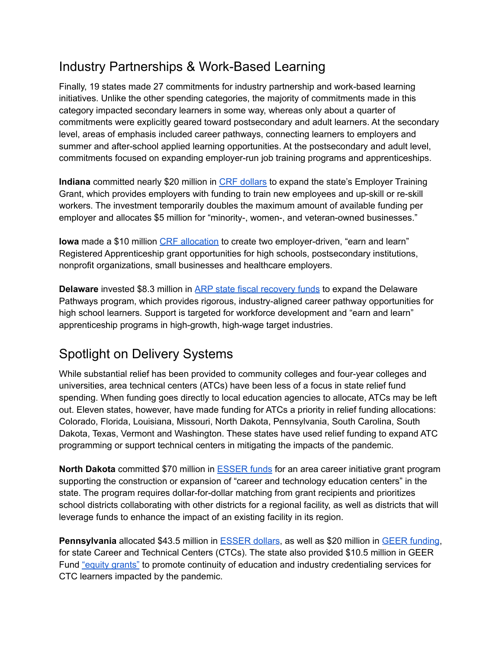#### Industry Partnerships & Work-Based Learning

Finally, 19 states made 27 commitments for industry partnership and work-based learning initiatives. Unlike the other spending categories, the majority of commitments made in this category impacted secondary learners in some way, whereas only about a quarter of commitments were explicitly geared toward postsecondary and adult learners. At the secondary level, areas of emphasis included career pathways, connecting learners to employers and summer and after-school applied learning opportunities. At the postsecondary and adult level, commitments focused on expanding employer-run job training programs and apprenticeships.

**Indiana** committed nearly \$20 million in CRF [dollars](https://www.insideindianabusiness.com/articles/holcomb-expands-jobs-program-through-end-of-year) to expand the state's Employer Training Grant, which provides employers with funding to train new employees and up-skill or re-skill workers. The investment temporarily doubles the maximum amount of available funding per employer and allocates \$5 million for "minority-, women-, and veteran-owned businesses."

**Iowa** made a \$10 million CRF [allocation](https://www.futurereadyiowa.gov/registered-apprenticeship-grants) to create two employer-driven, "earn and learn" Registered Apprenticeship grant opportunities for high schools, postsecondary institutions, nonprofit organizations, small businesses and healthcare employers.

**Delaware** invested \$8.3 million in ARP state fiscal [recovery](https://news.delaware.gov/2021/10/05/governor-carney-lt-governor-hall-long-announce-50m-american-rescue-plan-arpa-investment-in-jobs-training/) funds to expand the Delaware Pathways program, which provides rigorous, industry-aligned career pathway opportunities for high school learners. Support is targeted for workforce development and "earn and learn" apprenticeship programs in high-growth, high-wage target industries.

### Spotlight on Delivery Systems

While substantial relief has been provided to community colleges and four-year colleges and universities, area technical centers (ATCs) have been less of a focus in state relief fund spending. When funding goes directly to local education agencies to allocate, ATCs may be left out. Eleven states, however, have made funding for ATCs a priority in relief funding allocations: Colorado, Florida, Louisiana, Missouri, North Dakota, Pennsylvania, South Carolina, South Dakota, Texas, Vermont and Washington. These states have used relief funding to expand ATC programming or support technical centers in mitigating the impacts of the pandemic.

**North Dakota** committed \$70 million in [ESSER](https://www.spartnerships.com/north-dakota-earmarks-70m-for-cte-center-construction/) funds for an area career initiative grant program supporting the construction or expansion of "career and technology education centers" in the state. The program requires dollar-for-dollar matching from grant recipients and prioritizes school districts collaborating with other districts for a regional facility, as well as districts that will leverage funds to enhance the impact of an existing facility in its region.

**Pennsylvania** allocated \$43.5 million in [ESSER](https://oese.ed.gov/files/2021/06/Rhode-Island-ARP-ESSER-State-Plan.pdf) dollars, as well as \$20 million in GEER [funding](https://www.education.pa.gov/Schools/safeschools/emergencyplanning/COVID-19/GEER/GEERII/Pages/Other.aspx), for state Career and Technical Centers (CTCs). The state also provided \$10.5 million in GEER Fund "equity [grants"](https://www.education.pa.gov/Schools/safeschools/emergencyplanning/COVID-19/GEER/GEERI/Pages/CTECenters.aspx) to promote continuity of education and industry credentialing services for CTC learners impacted by the pandemic.